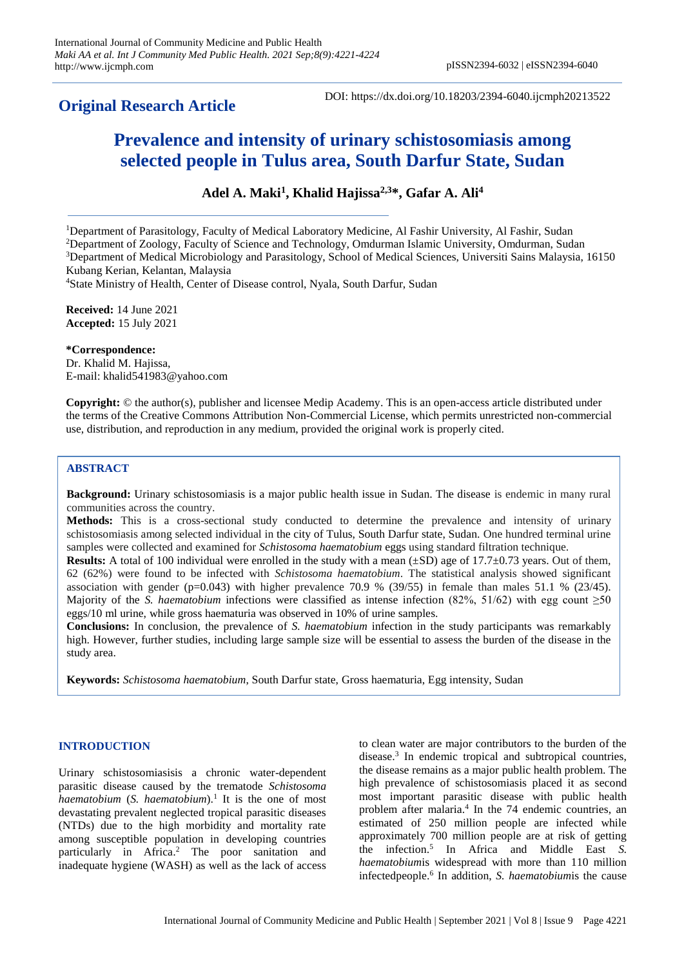# **Original Research Article**

DOI: https://dx.doi.org/10.18203/2394-6040.ijcmph20213522

# **Prevalence and intensity of urinary schistosomiasis among selected people in Tulus area, South Darfur State, Sudan**

**Adel A. Maki<sup>1</sup> , Khalid Hajissa2,3\*, Gafar A. Ali<sup>4</sup>**

<sup>1</sup>Department of Parasitology, Faculty of Medical Laboratory Medicine, Al Fashir University, Al Fashir, Sudan

<sup>2</sup>Department of Zoology, Faculty of Science and Technology, Omdurman Islamic University, Omdurman, Sudan

<sup>3</sup>Department of Medical Microbiology and Parasitology, School of Medical Sciences, Universiti Sains Malaysia, 16150 Kubang Kerian, Kelantan, Malaysia

<sup>4</sup>State Ministry of Health, Center of Disease control, Nyala, South Darfur, Sudan

**Received:** 14 June 2021 **Accepted:** 15 July 2021

**\*Correspondence:** Dr. Khalid M. Hajissa, E-mail: [khalid541983@yahoo.com](mailto:zeehaida@usm.my)

**Copyright:** © the author(s), publisher and licensee Medip Academy. This is an open-access article distributed under the terms of the Creative Commons Attribution Non-Commercial License, which permits unrestricted non-commercial use, distribution, and reproduction in any medium, provided the original work is properly cited.

## **ABSTRACT**

**Background:** Urinary schistosomiasis is a major public health issue in Sudan. The disease is endemic in many rural communities across the country.

**Methods:** This is a cross-sectional study conducted to determine the prevalence and intensity of urinary schistosomiasis among selected individual in the city of Tulus, South Darfur state, Sudan. One hundred terminal urine samples were collected and examined for *Schistosoma haematobium* eggs using standard filtration technique.

**Results:** A total of 100 individual were enrolled in the study with a mean  $(\pm SD)$  age of 17.7 $\pm$ 0.73 years. Out of them, 62 (62%) were found to be infected with *Schistosoma haematobium*. The statistical analysis showed significant association with gender (p=0.043) with higher prevalence 70.9 % (39/55) in female than males 51.1 % (23/45). Majority of the *S. haematobium* infections were classified as intense infection (82%, 51/62) with egg count  $\geq$ 50 eggs/10 ml urine, while gross haematuria was observed in 10% of urine samples.

**Conclusions:** In conclusion, the prevalence of *S. haematobium* infection in the study participants was remarkably high. However, further studies, including large sample size will be essential to assess the burden of the disease in the study area.

**Keywords:** *Schistosoma haematobium*, South Darfur state, Gross haematuria, Egg intensity, Sudan

#### **INTRODUCTION**

Urinary schistosomiasisis a chronic water-dependent parasitic disease caused by the trematode *Schistosoma haematobium* (*S. haematobium*). 1 It is the one of most devastating prevalent neglected tropical parasitic diseases (NTDs) due to the high morbidity and mortality rate among susceptible population in developing countries particularly in Africa. <sup>2</sup> The poor sanitation and inadequate hygiene (WASH) as well as the lack of access

to clean water are major contributors to the burden of the disease. 3 In endemic tropical and subtropical countries, the disease remains as a major public health problem. The high prevalence of schistosomiasis placed it as second most important parasitic disease with public health problem after malaria. 4 In the 74 endemic countries, an estimated of 250 million people are infected while approximately 700 million people are at risk of getting the infection. 5 In Africa and Middle East *S. haematobium*is widespread with more than 110 million infectedpeople. 6 In addition, *S. haematobium*is the cause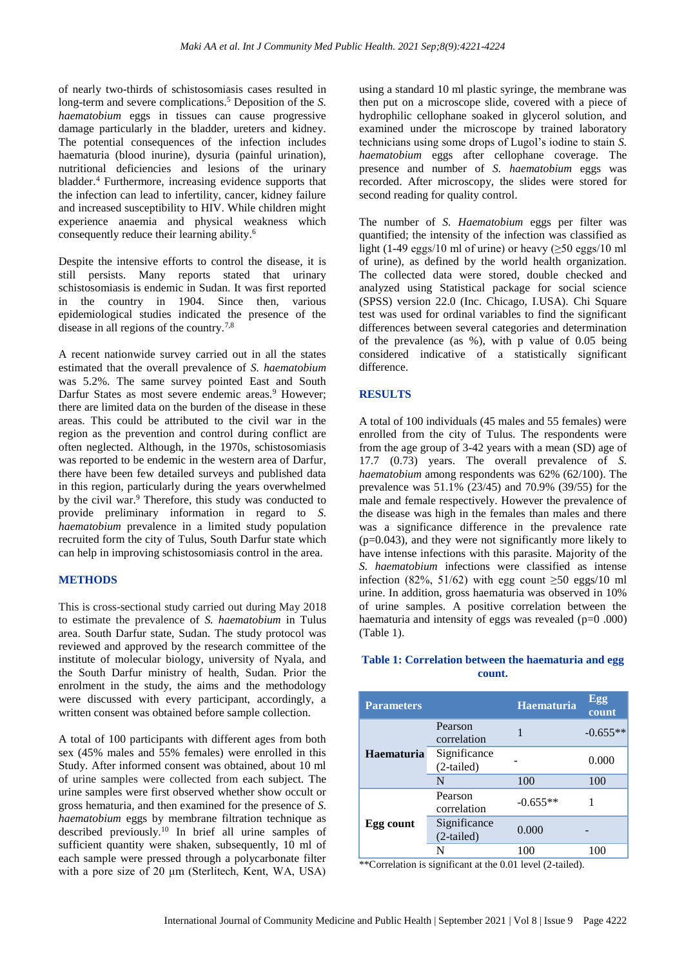of nearly two-thirds of schistosomiasis cases resulted in long-term and severe complications.<sup>5</sup> Deposition of the *S*. *haematobium* eggs in tissues can cause progressive damage particularly in the bladder, ureters and kidney. The potential consequences of the infection includes haematuria (blood inurine), dysuria (painful urination), nutritional deficiencies and lesions of the urinary bladder.<sup>4</sup> Furthermore, increasing evidence supports that the infection can lead to infertility, cancer, kidney failure and increased susceptibility to HIV. While children might experience anaemia and physical weakness which consequently reduce their learning ability. 6

Despite the intensive efforts to control the disease, it is still persists. Many reports stated that urinary schistosomiasis is endemic in Sudan. It was first reported in the country in 1904. Since then, various epidemiological studies indicated the presence of the disease in all regions of the country.7,8

A recent nationwide survey carried out in all the states estimated that the overall prevalence of *S. haematobium* was 5.2%. The same survey pointed East and South Darfur States as most severe endemic areas.<sup>9</sup> However; there are limited data on the burden of the disease in these areas. This could be attributed to the civil war in the region as the prevention and control during conflict are often neglected. Although, in the 1970s, schistosomiasis was reported to be endemic in the western area of Darfur, there have been few detailed surveys and published data in this region, particularly during the years overwhelmed by the civil war.<sup>9</sup> Therefore, this study was conducted to provide preliminary information in regard to *S. haematobium* prevalence in a limited study population recruited form the city of Tulus, South Darfur state which can help in improving schistosomiasis control in the area.

#### **METHODS**

This is cross-sectional study carried out during May 2018 to estimate the prevalence of *S. haematobium* in Tulus area. South Darfur state, Sudan. The study protocol was reviewed and approved by the research committee of the institute of molecular biology, university of Nyala, and the South Darfur ministry of health, Sudan. Prior the enrolment in the study, the aims and the methodology were discussed with every participant, accordingly, a written consent was obtained before sample collection.

A total of 100 participants with different ages from both sex (45% males and 55% females) were enrolled in this Study. After informed consent was obtained, about 10 ml of urine samples were collected from each subject. The urine samples were first observed whether show occult or gross hematuria, and then examined for the presence of *S. haematobium* eggs by membrane filtration technique as described previously.<sup>10</sup> In brief all urine samples of sufficient quantity were shaken, subsequently, 10 ml of each sample were pressed through a polycarbonate filter with a pore size of 20 μm (Sterlitech, Kent, WA, USA)

using a standard 10 ml plastic syringe, the membrane was then put on a microscope slide, covered with a piece of hydrophilic cellophane soaked in glycerol solution, and examined under the microscope by trained laboratory technicians using some drops of Lugol's iodine to stain *S. haematobium* eggs after cellophane coverage. The presence and number of *S. haematobium* eggs was recorded. After microscopy, the slides were stored for second reading for quality control.

The number of *S. Haematobium* eggs per filter was quantified; the intensity of the infection was classified as light (1-49 eggs/10 ml of urine) or heavy ( $\geq$ 50 eggs/10 ml of urine), as defined by the world health organization. The collected data were stored, double checked and analyzed using Statistical package for social science (SPSS) version 22.0 (Inc. Chicago, I.USA). Chi Square test was used for ordinal variables to find the significant differences between several categories and determination of the prevalence (as %), with p value of 0.05 being considered indicative of a statistically significant difference.

#### **RESULTS**

A total of 100 individuals (45 males and 55 females) were enrolled from the city of Tulus. The respondents were from the age group of 3-42 years with a mean (SD) age of 17.7 (0.73) years. The overall prevalence of *S. haematobium* among respondents was 62% (62/100). The prevalence was 51.1% (23/45) and 70.9% (39/55) for the male and female respectively. However the prevalence of the disease was high in the females than males and there was a significance difference in the prevalence rate (p=0.043), and they were not significantly more likely to have intense infections with this parasite. Majority of the *S. haematobium* infections were classified as intense infection (82%, 51/62) with egg count  $\geq 50$  eggs/10 ml urine. In addition, gross haematuria was observed in 10% of urine samples. A positive correlation between the haematuria and intensity of eggs was revealed (p=0 .000) (Table 1).

#### **Table 1: Correlation between the haematuria and egg count.**

| <b>Parameters</b> |                              | <b>Haematuria</b> | Egg<br>count |
|-------------------|------------------------------|-------------------|--------------|
| <b>Haematuria</b> | Pearson<br>correlation       |                   | $-0.655**$   |
|                   | Significance<br>$(2-tailed)$ |                   | 0.000        |
|                   | N                            | 100               | 100          |
| Egg count         | Pearson<br>correlation       | $-0.655**$        |              |
|                   | Significance<br>$(2-tailed)$ | 0.000             |              |
|                   | N                            | 100               | 100          |

\*\*Correlation is significant at the 0.01 level (2-tailed).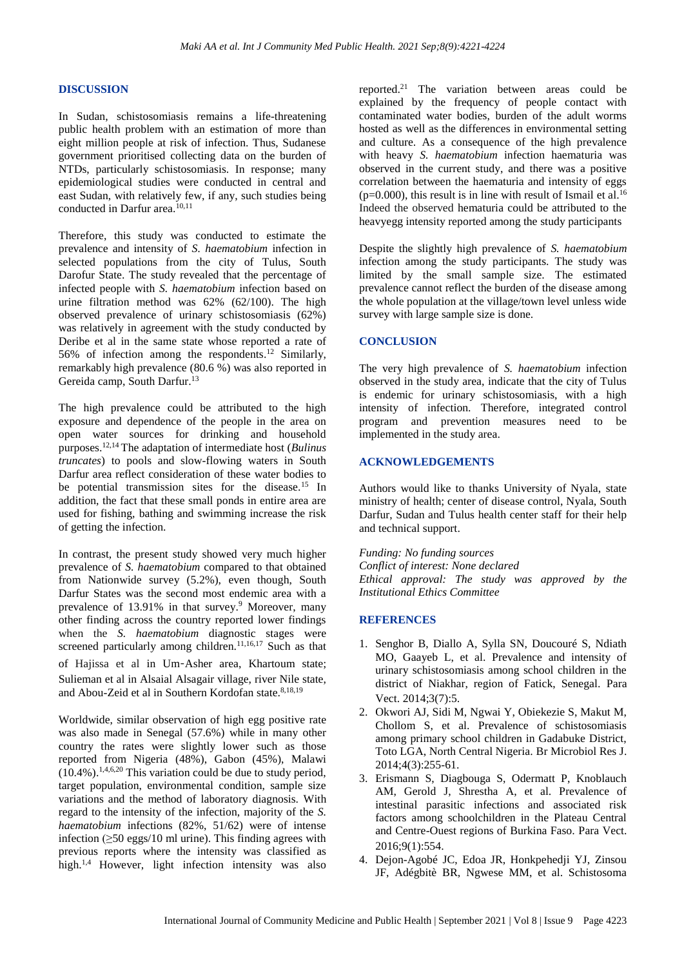#### **DISCUSSION**

In Sudan, schistosomiasis remains a life-threatening public health problem with an estimation of more than eight million people at risk of infection. Thus, Sudanese government prioritised collecting data on the burden of NTDs, particularly schistosomiasis. In response; many epidemiological studies were conducted in central and east Sudan, with relatively few, if any, such studies being conducted in Darfur area.<sup>10,11</sup>

Therefore, this study was conducted to estimate the prevalence and intensity of *S. haematobium* infection in selected populations from the city of Tulus, South Darofur State. The study revealed that the percentage of infected people with *S. haematobium* infection based on urine filtration method was 62% (62/100). The high observed prevalence of urinary schistosomiasis (62%) was relatively in agreement with the study conducted by Deribe et al in the same state whose reported a rate of 56% of infection among the respondents. <sup>12</sup> Similarly, remarkably high prevalence (80.6 %) was also reported in Gereida camp, South Darfur.<sup>13</sup>

The high prevalence could be attributed to the high exposure and dependence of the people in the area on open water sources for drinking and household purposes.12,14 The adaptation of intermediate host (*Bulinus truncates*) to pools and slow-flowing waters in South Darfur area reflect consideration of these water bodies to be potential transmission sites for the disease.<sup>15</sup> In addition, the fact that these small ponds in entire area are used for fishing, bathing and swimming increase the risk of getting the infection.

In contrast, the present study showed very much higher prevalence of *S. haematobium* compared to that obtained from Nationwide survey (5.2%), even though, South Darfur States was the second most endemic area with a prevalence of 13.91% in that survey.<sup>9</sup> Moreover, many other finding across the country reported lower findings when the *S. haematobium* diagnostic stages were screened particularly among children.<sup>11,16,17</sup> Such as that of Hajissa et al in Um‑Asher area, Khartoum state;

Sulieman et al in Alsaial Alsagair village, river Nile state, and Abou-Zeid et al in Southern Kordofan state. 8,18,19

Worldwide, similar observation of high egg positive rate was also made in Senegal (57.6%) while in many other country the rates were slightly lower such as those reported from Nigeria (48%), Gabon (45%), Malawi  $(10.4\%)$ .<sup>1,4,6,20</sup> This variation could be due to study period, target population, environmental condition, sample size variations and the method of laboratory diagnosis. With regard to the intensity of the infection, majority of the *S. haematobium* infections (82%, 51/62) were of intense infection  $(≥50 egs/10 ml urine)$ . This finding agrees with previous reports where the intensity was classified as high.<sup>1,4</sup> However, light infection intensity was also

reported. <sup>21</sup> The variation between areas could be explained by the frequency of people contact with contaminated water bodies, burden of the adult worms hosted as well as the differences in environmental setting and culture. As a consequence of the high prevalence with heavy *S. haematobium* infection haematuria was observed in the current study, and there was a positive correlation between the haematuria and intensity of eggs  $(p=0.000)$ , this result is in line with result of Ismail et al.<sup>16</sup> Indeed the observed hematuria could be attributed to the heavyegg intensity reported among the study participants

Despite the slightly high prevalence of *S. haematobium*  infection among the study participants. The study was limited by the small sample size. The estimated prevalence cannot reflect the burden of the disease among the whole population at the village/town level unless wide survey with large sample size is done.

#### **CONCLUSION**

The very high prevalence of *S. haematobium* infection observed in the study area, indicate that the city of Tulus is endemic for urinary schistosomiasis, with a high intensity of infection. Therefore, integrated control program and prevention measures need to be implemented in the study area.

### **ACKNOWLEDGEMENTS**

Authors would like to thanks University of Nyala, state ministry of health; center of disease control, Nyala, South Darfur, Sudan and Tulus health center staff for their help and technical support.

*Funding: No funding sources Conflict of interest: None declared Ethical approval: The study was approved by the Institutional Ethics Committee*

#### **REFERENCES**

- 1. Senghor B, Diallo A, Sylla SN, Doucouré S, Ndiath MO, Gaayeb L, et al. Prevalence and intensity of urinary schistosomiasis among school children in the district of Niakhar, region of Fatick, Senegal. Para Vect. 2014;3(7):5.
- 2. Okwori AJ, Sidi M, Ngwai Y, Obiekezie S, Makut M, Chollom S, et al. Prevalence of schistosomiasis among primary school children in Gadabuke District, Toto LGA, North Central Nigeria. Br Microbiol Res J. 2014;4(3):255-61.
- 3. Erismann S, Diagbouga S, Odermatt P, Knoblauch AM, Gerold J, Shrestha A, et al. Prevalence of intestinal parasitic infections and associated risk factors among schoolchildren in the Plateau Central and Centre-Ouest regions of Burkina Faso. Para Vect. 2016;9(1):554.
- 4. Dejon-Agobé JC, Edoa JR, Honkpehedji YJ, Zinsou JF, Adégbitè BR, Ngwese MM, et al. Schistosoma